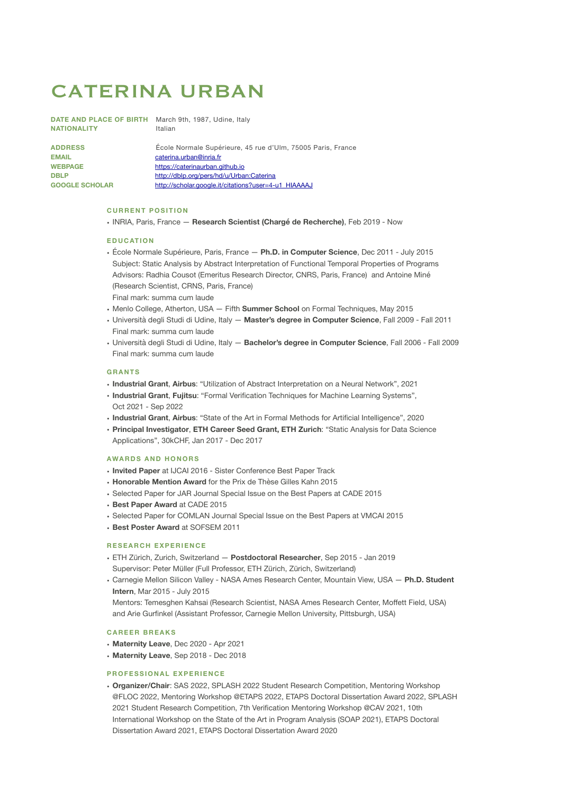# CATERINA URBAN

**NATIONALITY** Italian

**DATE AND PLACE OF BIRTH** March 9th, 1987, Udine, Italy

ADDRESS **Ecole Normale Supérieure, 45 rue d'Ulm, 75005 Paris, France EMAIL Caterina.urban@inria.fr** WEBPAGE <https://caterinaurban.github.io> DBLP<br> **<http://dblp.org/pers/hd/u/Urban:Caterina>** GOOGLE SCHOLAR [http://scholar.google.it/citations?user=4-u1\\_HIAAAAJ](http://scholar.google.it/citations?user=4-u1_HIAAAAJ)

# **CURRENT POSITION**

• INRIA, Paris, France — **Research Scientist (Chargé de Recherche)**, Feb 2019 - Now

#### **EDUCATION**

- École Normale Supérieure, Paris, France **Ph.D. in Computer Science**, Dec 2011 July 2015 Subject: Static Analysis by Abstract Interpretation of Functional Temporal Properties of Programs Advisors: Radhia Cousot (Emeritus Research Director, CNRS, Paris, France) and Antoine Miné (Research Scientist, CRNS, Paris, France) Final mark: summa cum laude
- Menlo College, Atherton, USA Fifth **Summer School** on Formal Techniques, May 2015
- Università degli Studi di Udine, Italy **Master's degree in Computer Science**, Fall 2009 Fall 2011 Final mark: summa cum laude
- Università degli Studi di Udine, Italy **Bachelor's degree in Computer Science**, Fall 2006 Fall 2009 Final mark: summa cum laude

### **GRANTS**

- **Industrial Grant**, **Airbus**: "Utilization of Abstract Interpretation on a Neural Network", 2021
- **Industrial Grant**, **Fujitsu**: "Formal Verification Techniques for Machine Learning Systems", Oct 2021 - Sep 2022
- **Industrial Grant**, **Airbus**: "State of the Art in Formal Methods for Artificial Intelligence", 2020
- **Principal Investigator**, **ETH Career Seed Grant, ETH Zurich**: "Static Analysis for Data Science Applications", 30kCHF, Jan 2017 - Dec 2017

# **AWARDS AND HONORS**

- **Invited Paper** at IJCAI 2016 Sister Conference Best Paper Track
- **Honorable Mention Award** for the Prix de Thèse Gilles Kahn 2015
- Selected Paper for JAR Journal Special Issue on the Best Papers at CADE 2015
- **Best Paper Award** at CADE 2015
- Selected Paper for COMLAN Journal Special Issue on the Best Papers at VMCAI 2015
- **Best Poster Award** at SOFSEM 2011

### **RESEARCH EXPERIENCE**

- ETH Zürich, Zurich, Switzerland **Postdoctoral Researcher**, Sep 2015 Jan 2019 Supervisor: Peter Müller (Full Professor, ETH Zürich, Zürich, Switzerland)
- Carnegie Mellon Silicon Valley NASA Ames Research Center, Mountain View, USA **Ph.D. Student Intern**, Mar 2015 - July 2015

Mentors: Temesghen Kahsai (Research Scientist, NASA Ames Research Center, Moffett Field, USA) and Arie Gurfinkel (Assistant Professor, Carnegie Mellon University, Pittsburgh, USA)

#### **CAREER BREAKS**

- **Maternity Leave**, Dec 2020 Apr 2021
- **Maternity Leave**, Sep 2018 Dec 2018

### **PROFESSIONAL EXPERIENCE**

• **Organizer/Chair**: SAS 2022, SPLASH 2022 Student Research Competition, Mentoring Workshop @FLOC 2022, Mentoring Workshop @ETAPS 2022, ETAPS Doctoral Dissertation Award 2022, SPLASH 2021 Student Research Competition, 7th Verification Mentoring Workshop @CAV 2021, 10th International Workshop on the State of the Art in Program Analysis (SOAP 2021), ETAPS Doctoral Dissertation Award 2021, ETAPS Doctoral Dissertation Award 2020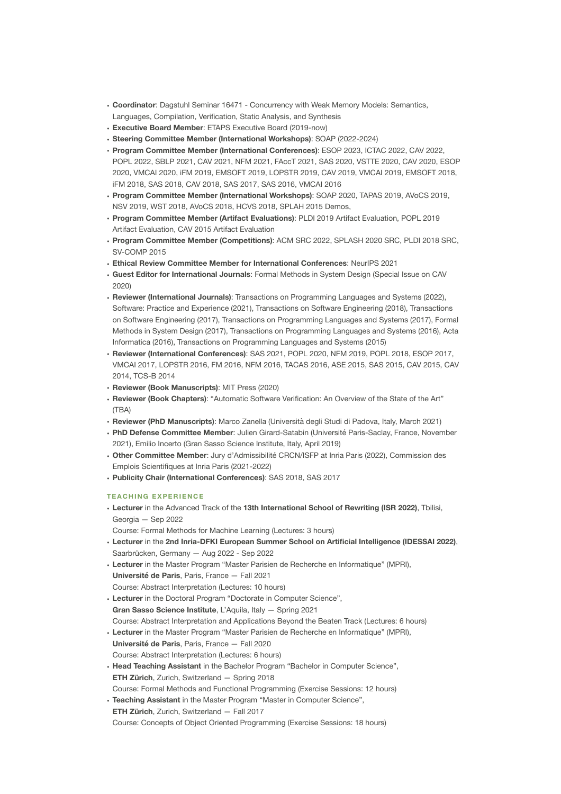- **Coordinator**: Dagstuhl Seminar 16471 Concurrency with Weak Memory Models: Semantics, Languages, Compilation, Verification, Static Analysis, and Synthesis
- **Executive Board Member**: ETAPS Executive Board (2019-now)
- **Steering Committee Member (International Workshops)**: SOAP (2022-2024)
- **Program Committee Member (International Conferences)**: ESOP 2023, ICTAC 2022, CAV 2022, POPL 2022, SBLP 2021, CAV 2021, NFM 2021, FAccT 2021, SAS 2020, VSTTE 2020, CAV 2020, ESOP 2020, VMCAI 2020, iFM 2019, EMSOFT 2019, LOPSTR 2019, CAV 2019, VMCAI 2019, EMSOFT 2018, iFM 2018, SAS 2018, CAV 2018, SAS 2017, SAS 2016, VMCAI 2016
- **Program Committee Member (International Workshops)**: SOAP 2020, TAPAS 2019, AVoCS 2019, NSV 2019, WST 2018, AVoCS 2018, HCVS 2018, SPLAH 2015 Demos,
- **Program Committee Member (Artifact Evaluations)**: PLDI 2019 Artifact Evaluation, POPL 2019 Artifact Evaluation, CAV 2015 Artifact Evaluation
- **Program Committee Member (Competitions)**: ACM SRC 2022, SPLASH 2020 SRC, PLDI 2018 SRC, SV-COMP 2015
- **Ethical Review Committee Member for International Conferences**: NeurIPS 2021
- **Guest Editor for International Journals**: Formal Methods in System Design (Special Issue on CAV 2020)
- **Reviewer (International Journals)**: Transactions on Programming Languages and Systems (2022), Software: Practice and Experience (2021), Transactions on Software Engineering (2018), Transactions on Software Engineering (2017), Transactions on Programming Languages and Systems (2017), Formal Methods in System Design (2017), Transactions on Programming Languages and Systems (2016), Acta Informatica (2016), Transactions on Programming Languages and Systems (2015)
- **Reviewer (International Conferences)**: SAS 2021, POPL 2020, NFM 2019, POPL 2018, ESOP 2017, VMCAI 2017, LOPSTR 2016, FM 2016, NFM 2016, TACAS 2016, ASE 2015, SAS 2015, CAV 2015, CAV 2014, TCS-B 2014
- **Reviewer (Book Manuscripts)**: MIT Press (2020)
- **Reviewer (Book Chapters)**: "Automatic Software Verification: An Overview of the State of the Art" (TBA)
- **Reviewer (PhD Manuscripts)**: Marco Zanella (Università degli Studi di Padova, Italy, March 2021)
- **PhD Defense Committee Member**: Julien Girard-Satabin (Université Paris-Saclay, France, November 2021), Emilio Incerto (Gran Sasso Science Institute, Italy, April 2019)
- **Other Committee Member**: Jury d'Admissibilité CRCN/ISFP at Inria Paris (2022), Commission des Emplois Scientifiques at Inria Paris (2021-2022)
- **Publicity Chair (International Conferences)**: SAS 2018, SAS 2017

# **TEACHING EXPERIENCE**

• **Lecturer** in the Advanced Track of the **13th International School of Rewriting (ISR 2022)**, Tbilisi, Georgia — Sep 2022

Course: Formal Methods for Machine Learning (Lectures: 3 hours)

- **Lecturer** in the **2nd Inria-DFKI European Summer School on Artificial Intelligence (IDESSAI 2022)**, Saarbrücken, Germany — Aug 2022 - Sep 2022
- **Lecturer** in the Master Program "Master Parisien de Recherche en Informatique" (MPRI), **Université de Paris**, Paris, France — Fall 2021 Course: Abstract Interpretation (Lectures: 10 hours)
- **Lecturer** in the Doctoral Program "Doctorate in Computer Science",
- **Gran Sasso Science Institute**, L'Aquila, Italy Spring 2021

Course: Abstract Interpretation and Applications Beyond the Beaten Track (Lectures: 6 hours)

- **Lecturer** in the Master Program "Master Parisien de Recherche en Informatique" (MPRI), **Université de Paris**, Paris, France — Fall 2020 Course: Abstract Interpretation (Lectures: 6 hours)
- **Head Teaching Assistant** in the Bachelor Program "Bachelor in Computer Science", **ETH Zürich**, Zurich, Switzerland — Spring 2018 Course: Formal Methods and Functional Programming (Exercise Sessions: 12 hours)
- **Teaching Assistant** in the Master Program "Master in Computer Science", **ETH Zürich**, Zurich, Switzerland — Fall 2017 Course: Concepts of Object Oriented Programming (Exercise Sessions: 18 hours)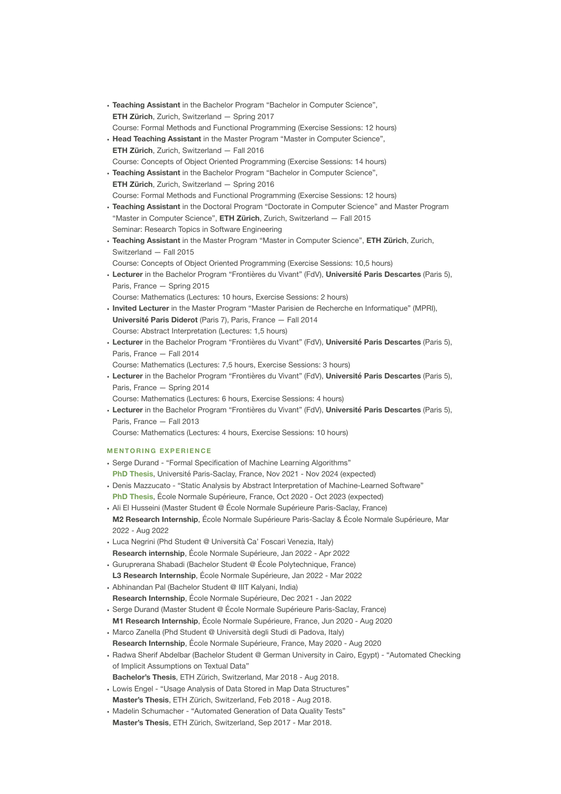- **Teaching Assistant** in the Bachelor Program "Bachelor in Computer Science", **ETH Zürich**, Zurich, Switzerland — Spring 2017 Course: Formal Methods and Functional Programming (Exercise Sessions: 12 hours)
- **Head Teaching Assistant** in the Master Program "Master in Computer Science", **ETH Zürich**, Zurich, Switzerland — Fall 2016 Course: Concepts of Object Oriented Programming (Exercise Sessions: 14 hours)
- **Teaching Assistant** in the Bachelor Program "Bachelor in Computer Science", **ETH Zürich**, Zurich, Switzerland — Spring 2016 Course: Formal Methods and Functional Programming (Exercise Sessions: 12 hours)
- **Teaching Assistant** in the Doctoral Program "Doctorate in Computer Science" and Master Program "Master in Computer Science", **ETH Zürich**, Zurich, Switzerland — Fall 2015 Seminar: Research Topics in Software Engineering
- **Teaching Assistant** in the Master Program "Master in Computer Science", **ETH Zürich**, Zurich, Switzerland — Fall 2015
- Course: Concepts of Object Oriented Programming (Exercise Sessions: 10,5 hours)
- **Lecturer** in the Bachelor Program "Frontières du Vivant" (FdV), **Université Paris Descartes** (Paris 5), Paris, France — Spring 2015
- Course: Mathematics (Lectures: 10 hours, Exercise Sessions: 2 hours)
- **Invited Lecturer** in the Master Program "Master Parisien de Recherche en Informatique" (MPRI), **Université Paris Diderot** (Paris 7), Paris, France — Fall 2014 Course: Abstract Interpretation (Lectures: 1,5 hours)
- **Lecturer** in the Bachelor Program "Frontières du Vivant" (FdV), **Université Paris Descartes** (Paris 5), Paris, France — Fall 2014
- Course: Mathematics (Lectures: 7,5 hours, Exercise Sessions: 3 hours)
- **Lecturer** in the Bachelor Program "Frontières du Vivant" (FdV), **Université Paris Descartes** (Paris 5), Paris, France — Spring 2014
- Course: Mathematics (Lectures: 6 hours, Exercise Sessions: 4 hours)
- **Lecturer** in the Bachelor Program "Frontières du Vivant" (FdV), **Université Paris Descartes** (Paris 5), Paris, France — Fall 2013
- Course: Mathematics (Lectures: 4 hours, Exercise Sessions: 10 hours)

# **MENTORING EXPERIENCE**

- Serge Durand "Formal Specification of Machine Learning Algorithms" **PhD Thesis**, Université Paris-Saclay, France, Nov 2021 - Nov 2024 (expected)
- Denis Mazzucato "Static Analysis by Abstract Interpretation of Machine-Learned Software" **PhD Thesis**, École Normale Supérieure, France, Oct 2020 - Oct 2023 (expected)
- Ali El Husseini (Master Student @ École Normale Supérieure Paris-Saclay, France) **M2 Research Internship**, École Normale Supérieure Paris-Saclay & École Normale Supérieure, Mar 2022 - Aug 2022
- Luca Negrini (Phd Student @ Università Ca' Foscari Venezia, Italy) **Research internship**, École Normale Supérieure, Jan 2022 - Apr 2022
- Guruprerana Shabadi (Bachelor Student @ École Polytechnique, France) **L3 Research Internship**, École Normale Supérieure, Jan 2022 - Mar 2022
- Abhinandan Pal (Bachelor Student @ IIIT Kalyani, India)
- **Research Internship**, École Normale Supérieure, Dec 2021 Jan 2022
- Serge Durand (Master Student @ École Normale Supérieure Paris-Saclay, France) **M1 Research Internship**, École Normale Supérieure, France, Jun 2020 - Aug 2020
- Marco Zanella (Phd Student @ Università degli Studi di Padova, Italy) **Research Internship**, École Normale Supérieure, France, May 2020 - Aug 2020
- Radwa Sherif Abdelbar (Bachelor Student @ German University in Cairo, Egypt) "Automated Checking of Implicit Assumptions on Textual Data"
- **Bachelor's Thesis**, ETH Zürich, Switzerland, Mar 2018 Aug 2018.
- Lowis Engel "Usage Analysis of Data Stored in Map Data Structures" **Master's Thesis**, ETH Zürich, Switzerland, Feb 2018 - Aug 2018.
- Madelin Schumacher "Automated Generation of Data Quality Tests" **Master's Thesis**, ETH Zürich, Switzerland, Sep 2017 - Mar 2018.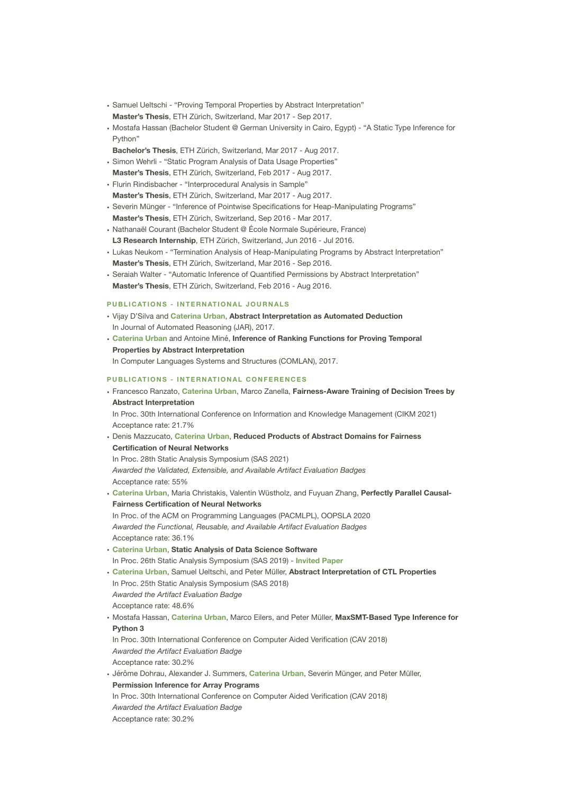- Samuel Ueltschi "Proving Temporal Properties by Abstract Interpretation" **Master's Thesis**, ETH Zürich, Switzerland, Mar 2017 - Sep 2017.
- Mostafa Hassan (Bachelor Student @ German University in Cairo, Egypt) "A Static Type Inference for Python"
- **Bachelor's Thesis**, ETH Zürich, Switzerland, Mar 2017 Aug 2017.
- Simon Wehrli "Static Program Analysis of Data Usage Properties" **Master's Thesis**, ETH Zürich, Switzerland, Feb 2017 - Aug 2017.
- Flurin Rindisbacher "Interprocedural Analysis in Sample" **Master's Thesis**, ETH Zürich, Switzerland, Mar 2017 - Aug 2017.
- Severin Münger "Inference of Pointwise Specifications for Heap-Manipulating Programs" **Master's Thesis**, ETH Zürich, Switzerland, Sep 2016 - Mar 2017.
- Nathanaël Courant (Bachelor Student @ École Normale Supérieure, France) **L3 Research Internship**, ETH Zürich, Switzerland, Jun 2016 - Jul 2016.
- Lukas Neukom "Termination Analysis of Heap-Manipulating Programs by Abstract Interpretation" **Master's Thesis**, ETH Zürich, Switzerland, Mar 2016 - Sep 2016.
- Seraiah Walter "Automatic Inference of Quantified Permissions by Abstract Interpretation" **Master's Thesis**, ETH Zürich, Switzerland, Feb 2016 - Aug 2016.

# **PUBLICATIONS - INTERNATIONAL JOURNALS**

- Vijay D'Silva and **Caterina Urban**, **Abstract Interpretation as Automated Deduction** In Journal of Automated Reasoning (JAR), 2017.
- **Caterina Urban** and Antoine Miné, **Inference of Ranking Functions for Proving Temporal Properties by Abstract Interpretation** In Computer Languages Systems and Structures (COMLAN), 2017.

#### **PUBLICATIONS - INTERNATIONAL CONFERENCES**

# • Francesco Ranzato, **Caterina Urban**, Marco Zanella, **Fairness-Aware Training of Decision Trees by Abstract Interpretation**

In Proc. 30th International Conference on Information and Knowledge Management (CIKM 2021) Acceptance rate: 21.7%

• Denis Mazzucato, **Caterina Urban**, **Reduced Products of Abstract Domains for Fairness Certification of Neural Networks**

In Proc. 28th Static Analysis Symposium (SAS 2021) *Awarded the Validated, Extensible, and Available Artifact Evaluation Badges* Acceptance rate: 55%

• **Caterina Urban**, Maria Christakis, Valentin Wüstholz, and Fuyuan Zhang, **Perfectly Parallel Causal-Fairness Certification of Neural Networks** In Proc. of the ACM on Programming Languages (PACMLPL), OOPSLA 2020 *Awarded the Functional, Reusable, and Available Artifact Evaluation Badges* Acceptance rate: 36.1% • **Caterina Urban**, **Static Analysis of Data Science Software** In Proc. 26th Static Analysis Symposium (SAS 2019) - **Invited Paper** • **Caterina Urban**, Samuel Ueltschi, and Peter Müller, **Abstract Interpretation of CTL Properties** In Proc. 25th Static Analysis Symposium (SAS 2018) *Awarded the Artifact Evaluation Badge* Acceptance rate: 48.6% • Mostafa Hassan, **Caterina Urban**, Marco Eilers, and Peter Müller, **MaxSMT-Based Type Inference for Python 3** In Proc. 30th International Conference on Computer Aided Verification (CAV 2018) *Awarded the Artifact Evaluation Badge* Acceptance rate: 30.2% • Jérôme Dohrau, Alexander J. Summers, **Caterina Urban**, Severin Münger, and Peter Müller,

**Permission Inference for Array Programs** In Proc. 30th International Conference on Computer Aided Verification (CAV 2018) *Awarded the Artifact Evaluation Badge* Acceptance rate: 30.2%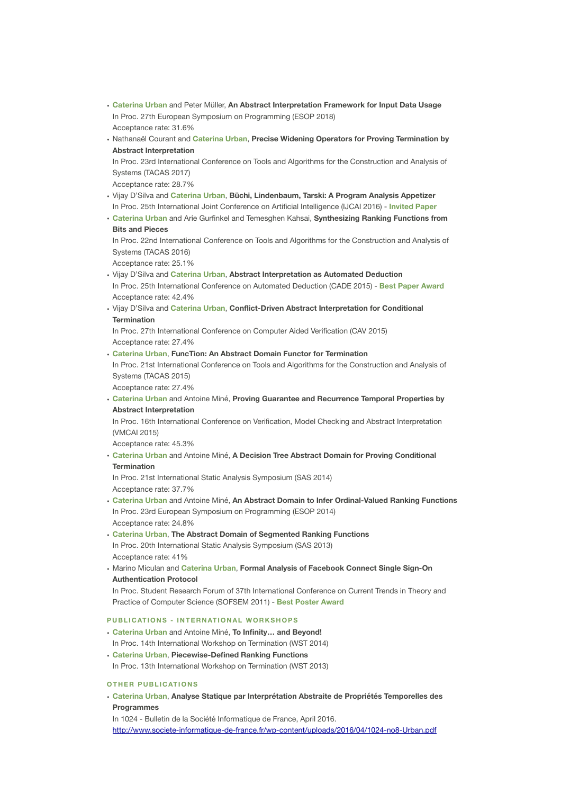- **Caterina Urban** and Peter Müller, **An Abstract Interpretation Framework for Input Data Usage** In Proc. 27th European Symposium on Programming (ESOP 2018) Acceptance rate: 31.6%
- Nathanaël Courant and **Caterina Urban**, **Precise Widening Operators for Proving Termination by Abstract Interpretation**

In Proc. 23rd International Conference on Tools and Algorithms for the Construction and Analysis of Systems (TACAS 2017)

Acceptance rate: 28.7%

- Vijay D'Silva and **Caterina Urban**, **Büchi, Lindenbaum, Tarski: A Program Analysis Appetizer** In Proc. 25th International Joint Conference on Artificial Intelligence (IJCAI 2016) - **Invited Paper**
- **Caterina Urban** and Arie Gurfinkel and Temesghen Kahsai, **Synthesizing Ranking Functions from Bits and Pieces**

In Proc. 22nd International Conference on Tools and Algorithms for the Construction and Analysis of Systems (TACAS 2016)

Acceptance rate: 25.1%

- Vijay D'Silva and **Caterina Urban**, **Abstract Interpretation as Automated Deduction** In Proc. 25th International Conference on Automated Deduction (CADE 2015) - **Best Paper Award** Acceptance rate: 42.4%
- Vijay D'Silva and **Caterina Urban**, **Conflict-Driven Abstract Interpretation for Conditional Termination**

In Proc. 27th International Conference on Computer Aided Verification (CAV 2015) Acceptance rate: 27.4%

• **Caterina Urban**, **FuncTion: An Abstract Domain Functor for Termination** In Proc. 21st International Conference on Tools and Algorithms for the Construction and Analysis of Systems (TACAS 2015)

Acceptance rate: 27.4%

• **Caterina Urban** and Antoine Miné, **Proving Guarantee and Recurrence Temporal Properties by Abstract Interpretation**

In Proc. 16th International Conference on Verification, Model Checking and Abstract Interpretation (VMCAI 2015)

Acceptance rate: 45.3%

• **Caterina Urban** and Antoine Miné, **A Decision Tree Abstract Domain for Proving Conditional Termination**

In Proc. 21st International Static Analysis Symposium (SAS 2014) Acceptance rate: 37.7%

- **Caterina Urban** and Antoine Miné, **An Abstract Domain to Infer Ordinal-Valued Ranking Functions** In Proc. 23rd European Symposium on Programming (ESOP 2014) Acceptance rate: 24.8%
- **Caterina Urban**, **The Abstract Domain of Segmented Ranking Functions** In Proc. 20th International Static Analysis Symposium (SAS 2013) Acceptance rate: 41%
- Marino Miculan and **Caterina Urban**, **Formal Analysis of Facebook Connect Single Sign-On Authentication Protocol**

In Proc. Student Research Forum of 37th International Conference on Current Trends in Theory and Practice of Computer Science (SOFSEM 2011) - **Best Poster Award**

# **PUBLICATIONS - INTERNATIONAL WORKSHOPS**

- **Caterina Urban** and Antoine Miné, **To Infinity… and Beyond!** In Proc. 14th International Workshop on Termination (WST 2014)
- **Caterina Urban**, **Piecewise-Defined Ranking Functions** In Proc. 13th International Workshop on Termination (WST 2013)

#### **OTHER PUBLICATIONS**

• **Caterina Urban**, **Analyse Statique par Interprétation Abstraite de Propriétés Temporelles des Programmes**

In 1024 - Bulletin de la Société Informatique de France, April 2016. <http://www.societe-informatique-de-france.fr/wp-content/uploads/2016/04/1024-no8-Urban.pdf>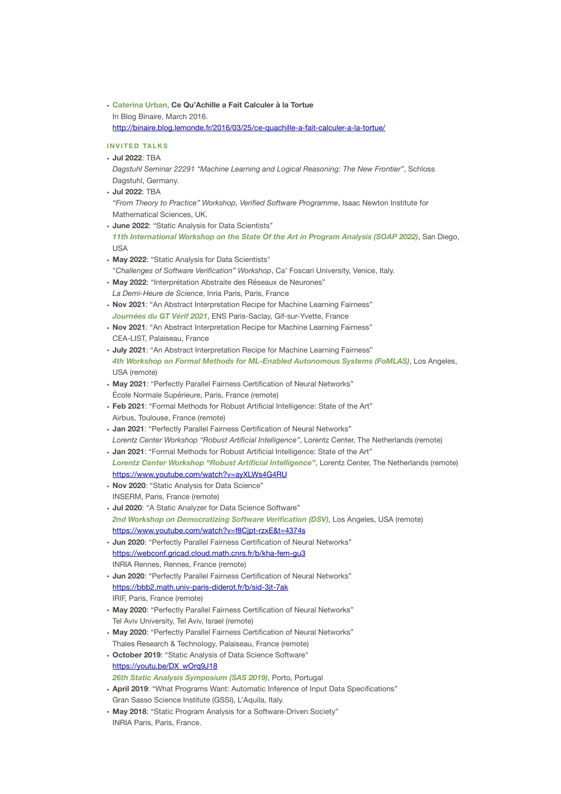• **Caterina Urban**, **Ce Qu'Achille a Fait Calculer à la Tortue** In Blog Binaire, March 2016. <http://binaire.blog.lemonde.fr/2016/03/25/ce-quachille-a-fait-calculer-a-la-tortue/>

# **INVITED TALKS**

- **Jul 2022**: TBA
- *Dagstuhl Seminar 22291 "Machine Learning and Logical Reasoning: The New Frontier"*, Schloss Dagstuhl, Germany.
- **Jul 2022**: TBA

*"From Theory to Practice" Workshop, Verified Software Programme*, Isaac Newton Institute for Mathematical Sciences, UK.

• **June 2022**: "Static Analysis for Data Scientists"

*11th International Workshop on the State Of the Art in Program Analysis (SOAP 2022)*, San Diego, USA

- **May 2022**: "Static Analysis for Data Scientists" "*Challenges of Software Verification" Workshop*, Ca' Foscari University, Venice, Italy.
- **May 2022**: "Interprétation Abstraite des Réseaux de Neurones" *La Demi-Heure de Science*, Inria Paris, Paris, France
- **Nov 2021**: "An Abstract Interpretation Recipe for Machine Learning Fairness" *Journées du GT Vérif 2021*, ENS Paris-Saclay, Gif-sur-Yvette, France
- **Nov 2021**: "An Abstract Interpretation Recipe for Machine Learning Fairness" CEA-LIST, Palaiseau, France
- **July 2021**: "An Abstract Interpretation Recipe for Machine Learning Fairness" *4th Workshop on Formal Methods for ML-Enabled Autonomous Systems (FoMLAS)*, Los Angeles, USA (remote)
- **May 2021**: "Perfectly Parallel Fairness Certification of Neural Networks" École Normale Supérieure, Paris, France (remote)
- **Feb 2021**: "Formal Methods for Robust Artificial Intelligence: State of the Art" Airbus, Toulouse, France (remote)
- **Jan 2021**: "Perfectly Parallel Fairness Certification of Neural Networks" *Lorentz Center Workshop "Robust Artificial Intelligence"*, Lorentz Center, The Netherlands (remote)
- **Jan 2021**: "Formal Methods for Robust Artificial Intelligence: State of the Art" *Lorentz Center Workshop "Robust Artificial Intelligence"*, Lorentz Center, The Netherlands (remote) <https://www.youtube.com/watch?v=ayXLWs4G4RU>
- **Nov 2020**: "Static Analysis for Data Science" INSERM, Paris, France (remote)
- **Jul 2020**: "A Static Analyzer for Data Science Software" *2nd Workshop on Democratizing Software Verification (DSV)*, Los Angeles, USA (remote) <https://www.youtube.com/watch?v=f8Cjpt-rzxE&t=4374s>
- **Jun 2020**: "Perfectly Parallel Fairness Certification of Neural Networks" <https://webconf.gricad.cloud.math.cnrs.fr/b/kha-fem-gu3> INRIA Rennes, Rennes, France (remote)
- **Jun 2020**: "Perfectly Parallel Fairness Certification of Neural Networks" <https://bbb2.math.univ-paris-diderot.fr/b/sid-3jt-7ak> IRIF, Paris, France (remote)
- **May 2020**: "Perfectly Parallel Fairness Certification of Neural Networks" Tel Aviv University, Tel Aviv, Israel (remote)
- **May 2020**: "Perfectly Parallel Fairness Certification of Neural Networks" Thales Research & Technology, Palaiseau, France (remote)
- **October 2019**: "Static Analysis of Data Science Software" [https://youtu.be/DX\\_wOrq9J18](https://youtu.be/DX_wOrq9J18)
- *26th Static Analysis Symposium (SAS 2019)*, Porto, Portugal
- **April 2019**: "What Programs Want: Automatic Inference of Input Data Specifications" Gran Sasso Science Institute (GSSI), L'Aquila, Italy.
- **May 2018**: "Static Program Analysis for a Software-Driven Society" INRIA Paris, Paris, France.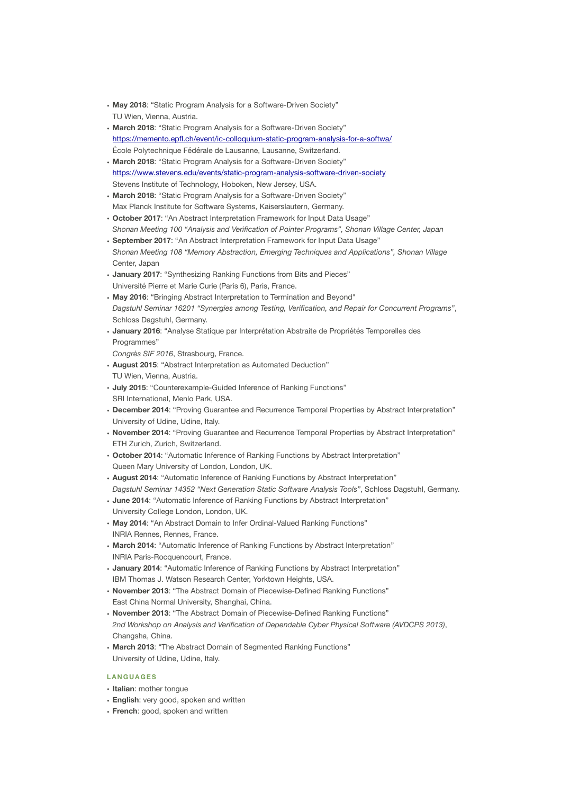- **May 2018**: "Static Program Analysis for a Software-Driven Society" TU Wien, Vienna, Austria.
- **March 2018**: "Static Program Analysis for a Software-Driven Society" <https://memento.epfl.ch/event/ic-colloquium-static-program-analysis-for-a-softwa/> École Polytechnique Fédérale de Lausanne, Lausanne, Switzerland.
- **March 2018**: "Static Program Analysis for a Software-Driven Society" <https://www.stevens.edu/events/static-program-analysis-software-driven-society> Stevens Institute of Technology, Hoboken, New Jersey, USA.
- **March 2018**: "Static Program Analysis for a Software-Driven Society" Max Planck Institute for Software Systems, Kaiserslautern, Germany.
- **October 2017**: "An Abstract Interpretation Framework for Input Data Usage" *Shonan Meeting 100 "Analysis and Verification of Pointer Programs", Shonan Village Center, Japan*
- **September 2017**: "An Abstract Interpretation Framework for Input Data Usage" *Shonan Meeting 108 "Memory Abstraction, Emerging Techniques and Applications", Shonan Village* Center, Japan
- **January 2017**: "Synthesizing Ranking Functions from Bits and Pieces" Université Pierre et Marie Curie (Paris 6), Paris, France.
- **May 2016**: "Bringing Abstract Interpretation to Termination and Beyond" *Dagstuhl Seminar 16201 "Synergies among Testing, Verification, and Repair for Concurrent Programs"*, Schloss Dagstuhl, Germany.
- **January 2016**: "Analyse Statique par Interprétation Abstraite de Propriétés Temporelles des Programmes"
- *Congrès SIF 2016*, Strasbourg, France.
- **August 2015**: "Abstract Interpretation as Automated Deduction" TU Wien, Vienna, Austria.
- **July 2015**: "Counterexample-Guided Inference of Ranking Functions" SRI International, Menlo Park, USA.
- **December 2014**: "Proving Guarantee and Recurrence Temporal Properties by Abstract Interpretation" University of Udine, Udine, Italy.
- **November 2014**: "Proving Guarantee and Recurrence Temporal Properties by Abstract Interpretation" ETH Zurich, Zurich, Switzerland.
- **October 2014**: "Automatic Inference of Ranking Functions by Abstract Interpretation" Queen Mary University of London, London, UK.
- **August 2014**: "Automatic Inference of Ranking Functions by Abstract Interpretation" *Dagstuhl Seminar 14352 "Next Generation Static Software Analysis Tools"*, Schloss Dagstuhl, Germany.
- **June 2014**: "Automatic Inference of Ranking Functions by Abstract Interpretation" University College London, London, UK.
- **May 2014**: "An Abstract Domain to Infer Ordinal-Valued Ranking Functions" INRIA Rennes, Rennes, France.
- **March 2014**: "Automatic Inference of Ranking Functions by Abstract Interpretation" INRIA Paris-Rocquencourt, France.
- **January 2014**: "Automatic Inference of Ranking Functions by Abstract Interpretation" IBM Thomas J. Watson Research Center, Yorktown Heights, USA.
- **November 2013**: "The Abstract Domain of Piecewise-Defined Ranking Functions" East China Normal University, Shanghai, China.
- **November 2013**: "The Abstract Domain of Piecewise-Defined Ranking Functions" *2nd Workshop on Analysis and Verification of Dependable Cyber Physical Software (AVDCPS 2013)*, Changsha, China.
- **March 2013**: "The Abstract Domain of Segmented Ranking Functions" University of Udine, Udine, Italy.

# **LANGUAGES**

- **Italian**: mother tongue
- **English**: very good, spoken and written
- **French**: good, spoken and written